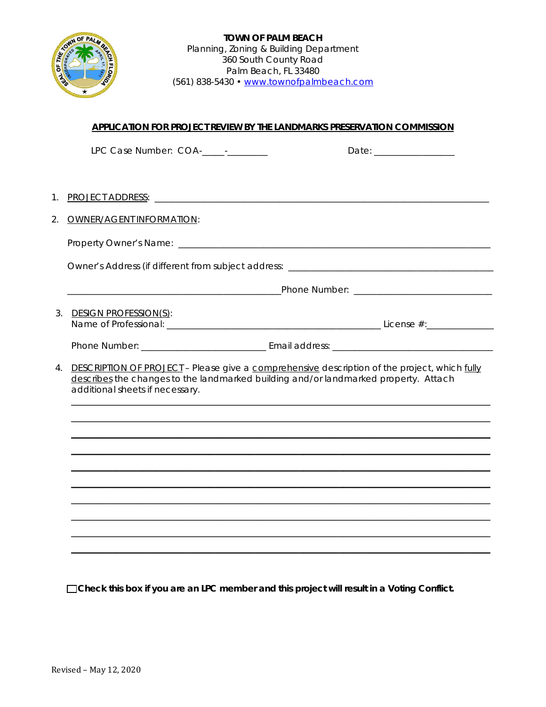

### **APPLICATION FOR PROJECT REVIEW BY THE LANDMARKS PRESERVATION COMMISSION**

|                                                                                                                                                                                                                           | LPC Case Number: COA-<br>-<br>Date: ________________                              |  |  |
|---------------------------------------------------------------------------------------------------------------------------------------------------------------------------------------------------------------------------|-----------------------------------------------------------------------------------|--|--|
| $1_{\cdot}$                                                                                                                                                                                                               |                                                                                   |  |  |
| 2.                                                                                                                                                                                                                        | <b>OWNER/AGENT INFORMATION:</b>                                                   |  |  |
|                                                                                                                                                                                                                           |                                                                                   |  |  |
|                                                                                                                                                                                                                           | Owner's Address (if different from subject address: _____________________________ |  |  |
|                                                                                                                                                                                                                           |                                                                                   |  |  |
|                                                                                                                                                                                                                           | 3. DESIGN PROFESSION(S):                                                          |  |  |
|                                                                                                                                                                                                                           |                                                                                   |  |  |
| 4. DESCRIPTION OF PROJECT - Please give a comprehensive description of the project, which fully<br>describes the changes to the landmarked building and/or landmarked property. Attach<br>additional sheets if necessary. |                                                                                   |  |  |
|                                                                                                                                                                                                                           |                                                                                   |  |  |
|                                                                                                                                                                                                                           |                                                                                   |  |  |
|                                                                                                                                                                                                                           |                                                                                   |  |  |
|                                                                                                                                                                                                                           |                                                                                   |  |  |

□ Check this box if you are an LPC member and this project will result in a Voting Conflict.

\_\_\_\_\_\_\_\_\_\_\_\_\_\_\_\_\_\_\_\_\_\_\_\_\_\_\_\_\_\_\_\_\_\_\_\_\_\_\_\_\_\_\_\_\_\_\_\_\_\_\_\_\_\_\_\_\_\_\_\_\_\_\_\_\_\_\_\_\_\_\_\_\_\_\_\_\_\_\_\_\_\_\_\_\_\_\_\_\_\_\_\_\_\_  $\mathcal{L}_\mathcal{L} = \{ \mathcal{L}_\mathcal{L} = \{ \mathcal{L}_\mathcal{L} = \{ \mathcal{L}_\mathcal{L} = \{ \mathcal{L}_\mathcal{L} = \{ \mathcal{L}_\mathcal{L} = \{ \mathcal{L}_\mathcal{L} = \{ \mathcal{L}_\mathcal{L} = \{ \mathcal{L}_\mathcal{L} = \{ \mathcal{L}_\mathcal{L} = \{ \mathcal{L}_\mathcal{L} = \{ \mathcal{L}_\mathcal{L} = \{ \mathcal{L}_\mathcal{L} = \{ \mathcal{L}_\mathcal{L} = \{ \mathcal{L}_\mathcal{$ \_\_\_\_\_\_\_\_\_\_\_\_\_\_\_\_\_\_\_\_\_\_\_\_\_\_\_\_\_\_\_\_\_\_\_\_\_\_\_\_\_\_\_\_\_\_\_\_\_\_\_\_\_\_\_\_\_\_\_\_\_\_\_\_\_\_\_\_\_\_\_\_\_\_\_\_\_\_\_\_\_\_\_\_\_\_\_\_\_\_\_\_\_\_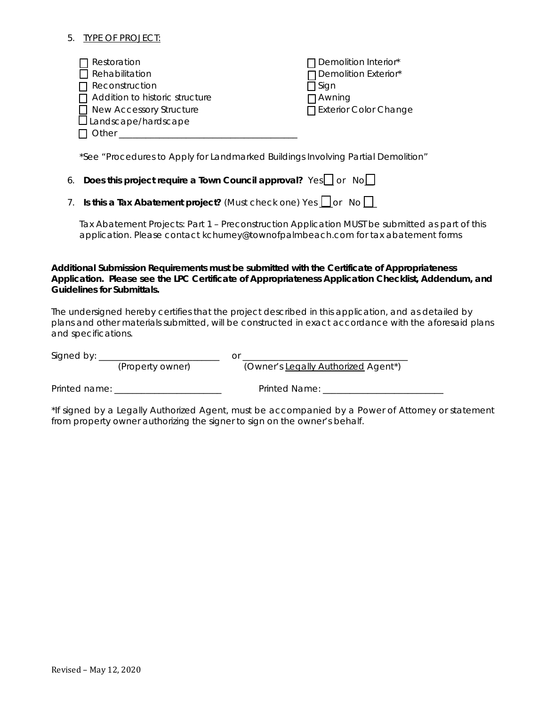#### 5. TYPE OF PROJECT:

| $\Box$ Restoration                    | $\Box$ Demolition Interior* |
|---------------------------------------|-----------------------------|
| $\Box$ Rehabilitation                 | □ Demolition Exterior*      |
| $\Box$ Reconstruction                 | 1 Sign                      |
| $\Box$ Addition to historic structure | $\Box$ Awning               |
| New Accessory Structure               | □ Exterior Color Change     |
| $\square$ Landscape/hardscape         |                             |
| Other                                 |                             |

\*See "Procedures to Apply for Landmarked Buildings Involving Partial Demolition"

| 5. Does this project require a Town Council approval? Yes or No |  |  |  |
|-----------------------------------------------------------------|--|--|--|
|-----------------------------------------------------------------|--|--|--|

|  |  | 7. Is this a Tax Abatement project? (Must check one) Yes $\Box$ or No $\Box$ |  |  |  |  |  |  |
|--|--|------------------------------------------------------------------------------|--|--|--|--|--|--|
|--|--|------------------------------------------------------------------------------|--|--|--|--|--|--|

Tax Abatement Projects: Part 1 – Preconstruction Application MUST be submitted as part of this application. Please contact kchurney@townofpalmbeach.com for tax abatement forms

#### *Additional Submission Requirements must be submitted with the Certificate of Appropriateness Application. Please see the LPC Certificate of Appropriateness Application Checklist, Addendum, and Guidelines for Submittals.*

The undersigned hereby certifies that the project described in this application, and as detailed by plans and other materials submitted, will be constructed in exact accordance with the aforesaid plans and specifications.

| Signed by: _______________________ |                  |                                                                                                           |
|------------------------------------|------------------|-----------------------------------------------------------------------------------------------------------|
|                                    | (Property owner) | (Owner's Legally Authorized Agent*)                                                                       |
| Printed name: _                    |                  | Printed Name:                                                                                             |
|                                    |                  | معاند مسجلة المستحدث والمستحدث والمستحدث والمستحدث والمستحدث والمستحدث والمستحدث والمستحدث والمستحدث والا |

If signed by a Legally Authorized Agent, must be accompanied by a Power of Attorney or statement from property owner authorizing the signer to sign on the owner's behalf.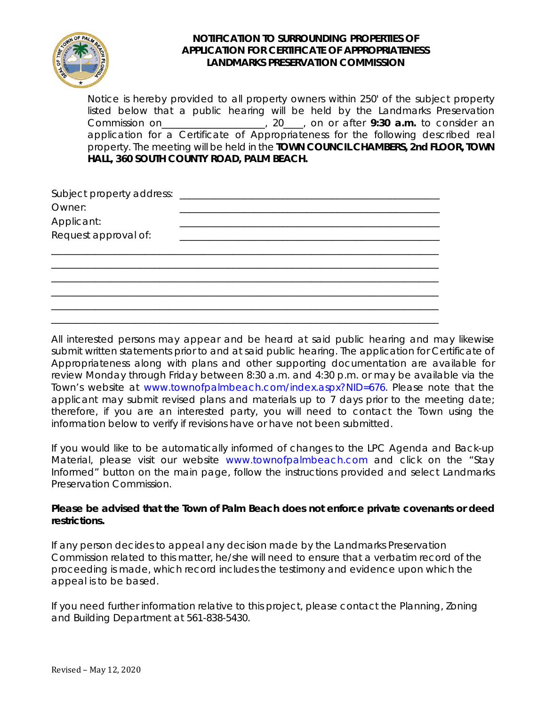

### **NOTIFICATION TO SURROUNDING PROPERTIES OF APPLICATION FOR CERTIFICATE OF APPROPRIATENESS LANDMARKS PRESERVATION COMMISSION**

Notice is hereby provided to all property owners within 250' of the subject property listed below that a public hearing will be held by the Landmarks Preservation Commission on\_\_\_\_\_\_\_\_\_\_\_\_\_\_\_\_\_\_\_\_\_, 20\_\_\_\_, on or after **9:30 a.m.** to consider an application for a Certificate of Appropriateness for the following described real property. The meeting will be held in the **TOWN COUNCIL CHAMBERS, 2nd FLOOR, TOWN HALL, 360 SOUTH COUNTY ROAD, PALM BEACH.**

| Subject property address:          |  |  |  |
|------------------------------------|--|--|--|
| Owner:                             |  |  |  |
|                                    |  |  |  |
| Applicant:<br>Request approval of: |  |  |  |
|                                    |  |  |  |
|                                    |  |  |  |
|                                    |  |  |  |
|                                    |  |  |  |
|                                    |  |  |  |
|                                    |  |  |  |
|                                    |  |  |  |

All interested persons may appear and be heard at said public hearing and may likewise submit written statements prior to and at said public hearing. The application for Certificate of Appropriateness along with plans and other supporting documentation are available for review Monday through Friday between 8:30 a.m. and 4:30 p.m. or may be available via the Town's website at www.townofpalmbeach.com/index.aspx?NID=676. Please note that the applicant may submit revised plans and materials up to 7 days prior to the meeting date; therefore, if you are an interested party, you will need to contact the Town using the information below to verify if revisions have or have not been submitted.

If you would like to be automatically informed of changes to the LPC Agenda and Back-up Material, please visit our website www.townofpalmbeach.com and click on the "Stay Informed" button on the main page, follow the instructions provided and select Landmarks Preservation Commission.

### **Please be advised that the Town of Palm Beach does not enforce private covenants or deed restrictions.**

If any person decides to appeal any decision made by the Landmarks Preservation Commission related to this matter, he/she will need to ensure that a verbatim record of the proceeding is made, which record includes the testimony and evidence upon which the appeal is to be based.

If you need further information relative to this project, please contact the Planning, Zoning and Building Department at 561-838-5430.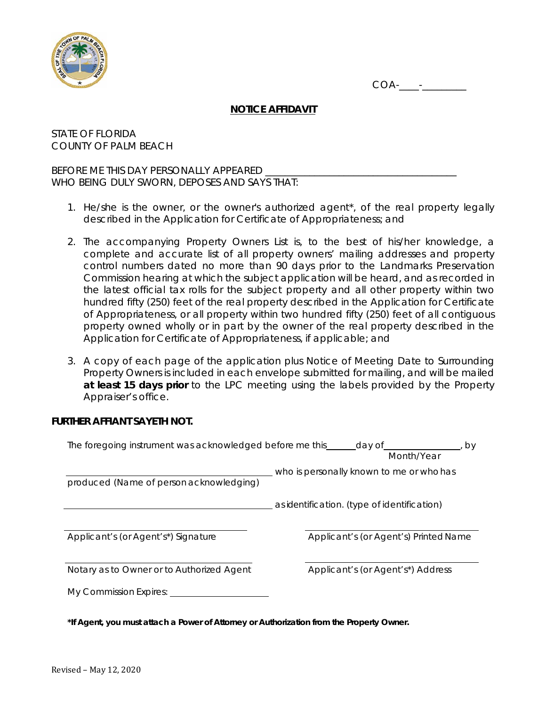



# **NOTICE AFFIDAVIT**

STATE OF FLORIDA COUNTY OF PALM BEACH

BEFORE ME THIS DAY PERSONALLY APPEARED WHO BEING DULY SWORN, DEPOSES AND SAYS THAT:

- 1. He/she is the owner, or the owner's authorized agent\*, of the real property legally described in the Application for Certificate of Appropriateness; and
- 2. The accompanying Property Owners List is, to the best of his/her knowledge, a complete and accurate list of all property owners' mailing addresses and property control numbers dated no more than 90 days prior to the Landmarks Preservation Commission hearing at which the subject application will be heard, and as recorded in the latest official tax rolls for the subject property and all other property within two hundred fifty (250) feet of the real property described in the Application for Certificate of Appropriateness, or all property within two hundred fifty (250) feet of all contiguous property owned wholly or in part by the owner of the real property described in the Application for Certificate of Appropriateness, if applicable; and
- 3. A copy of each page of the application plus Notice of Meeting Date to Surrounding Property Owners is included in each envelope submitted for mailing, and will be mailed **at least 15 days prior** to the LPC meeting using the labels provided by the Property Appraiser's office.

### **FURTHER AFFIANT SAYETH NOT.**

| The foregoing instrument was acknowledged before me this ______ day of<br>b٧<br>Month/Year |                                             |  |  |  |
|--------------------------------------------------------------------------------------------|---------------------------------------------|--|--|--|
| produced (Name of person acknowledging)                                                    | who is personally known to me or who has    |  |  |  |
|                                                                                            | as identification. (type of identification) |  |  |  |
| Applicant's (or Agent's*) Signature                                                        | Applicant's (or Agent's) Printed Name       |  |  |  |
| Notary as to Owner or to Authorized Agent                                                  | Applicant's (or Agent's*) Address           |  |  |  |
| My Commission Expires:                                                                     |                                             |  |  |  |

**\*If Agent, you must attach a Power of Attorney or Authorization from the Property Owner.**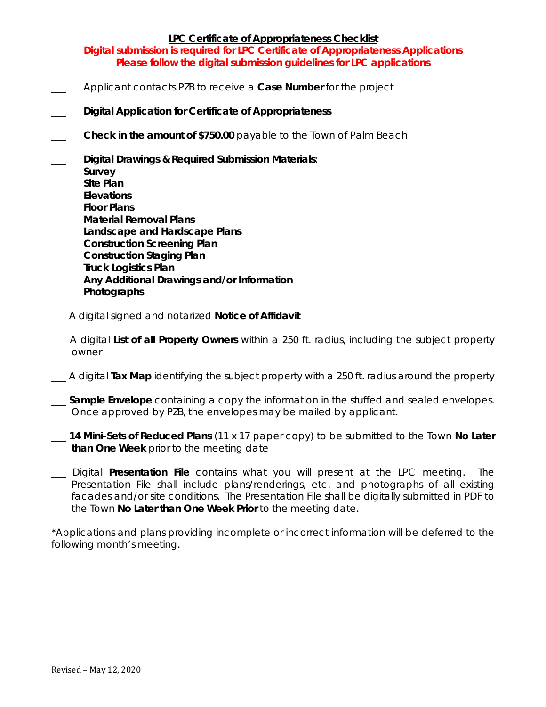### **LPC Certificate of Appropriateness Checklist**

**Digital submission is required for LPC Certificate of Appropriateness Applications Please follow the digital submission guidelines for LPC applications**

- \_\_\_ Applicant contacts PZB to receive a **Case Number** for the project
- \_\_\_ **Digital Application for Certificate of Appropriateness**
- **Check in the amount of \$750.00** payable to the Town of Palm Beach
- \_\_\_ **Digital Drawings & Required Submission Materials**: **Survey Site Plan Elevations Floor Plans Material Removal Plans Landscape and Hardscape Plans Construction Screening Plan Construction Staging Plan Truck Logistics Plan Any Additional Drawings and/or Information Photographs**
- \_\_\_ A digital signed and notarized **Notice of Affidavit**
- \_\_\_ A digital **List of all Property Owners** within a 250 ft. radius, including the subject property owner
- \_\_\_ A digital **Tax Map** identifying the subject property with a 250 ft. radius around the property
- \_\_\_ **Sample Envelope** containing a copy the information in the stuffed and sealed envelopes. Once approved by PZB, the envelopes may be mailed by applicant.
- \_\_\_ **14 Mini-Sets of Reduced Plans** (11 x 17 paper copy) to be submitted to the Town **No Later than One Week** prior to the meeting date
- \_\_\_ Digital **Presentation File** contains what you will present at the LPC meeting. The Presentation File shall include plans/renderings, etc. and photographs of all existing facades and/or site conditions. The Presentation File shall be digitally submitted in PDF to the Town **No Later than One Week Prior** to the meeting date.

\*Applications and plans providing incomplete or incorrect information will be deferred to the following month's meeting.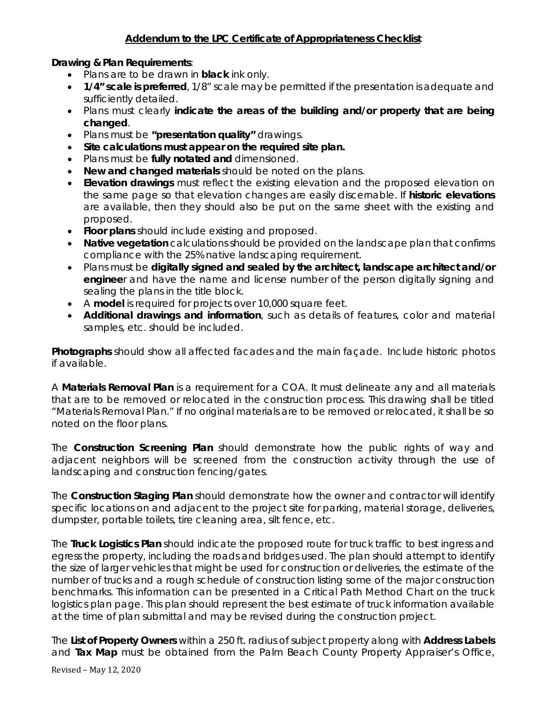# **Addendum to the LPC Certificate of Appropriateness Checklist**

# **Drawing & Plan Requirements**:

- Plans are to be drawn in **black** ink only.
- **1/4" scale is preferred**, 1/8" scale may be permitted if the presentation is adequate and sufficiently detailed.
- Plans must clearly **indicate the areas of the building and/or property that are being changed**.
- Plans must be **"presentation quality"** drawings.
- **Site calculations must appear on the required site plan.**
- Plans must be **fully notated and** dimensioned.
- **New and changed materials** should be noted on the plans.
- **Elevation drawings** must reflect the existing elevation and the proposed elevation on the same page so that elevation changes are easily discernable. If **historic elevations**  are available, then they should also be put on the same sheet with the existing and proposed.
- **Floor plans** should include existing and proposed.
- **Native vegetation** calculations should be provided on the landscape plan that confirms compliance with the 25% native landscaping requirement.
- Plans must be **digitally signed and sealed by the architect, landscape architect and/or enginee**r and have the name and license number of the person digitally signing and sealing the plans in the title block.
- A **model** is required for projects over 10,000 square feet.
- **Additional drawings and information**, such as details of features, color and material samples, etc. should be included.

**Photographs** should show all affected facades and the main façade. Include historic photos if available.

A **Materials Removal Plan** is a requirement for a COA. It must delineate any and all materials that are to be removed or relocated in the construction process. This drawing shall be titled "Materials Removal Plan." If no original materials are to be removed or relocated, it shall be so noted on the floor plans.

The **Construction Screening Plan** should demonstrate how the public rights of way and adjacent neighbors will be screened from the construction activity through the use of landscaping and construction fencing/gates.

The **Construction Staging Plan** should demonstrate how the owner and contractor will identify specific locations on and adjacent to the project site for parking, material storage, deliveries, dumpster, portable toilets, tire cleaning area, silt fence, etc.

The **Truck Logistics Plan** should indicate the proposed route for truck traffic to best ingress and egress the property, including the roads and bridges used. The plan should attempt to identify the size of larger vehicles that might be used for construction or deliveries, the estimate of the number of trucks and a rough schedule of construction listing some of the major construction benchmarks. This information can be presented in a Critical Path Method Chart on the truck logistics plan page. This plan should represent the best estimate of truck information available at the time of plan submittal and may be revised during the construction project.

The **List of Property Owners** within a 250 ft. radius of subject property along with **Address Labels** and **Tax Map** must be obtained from the Palm Beach County Property Appraiser's Office,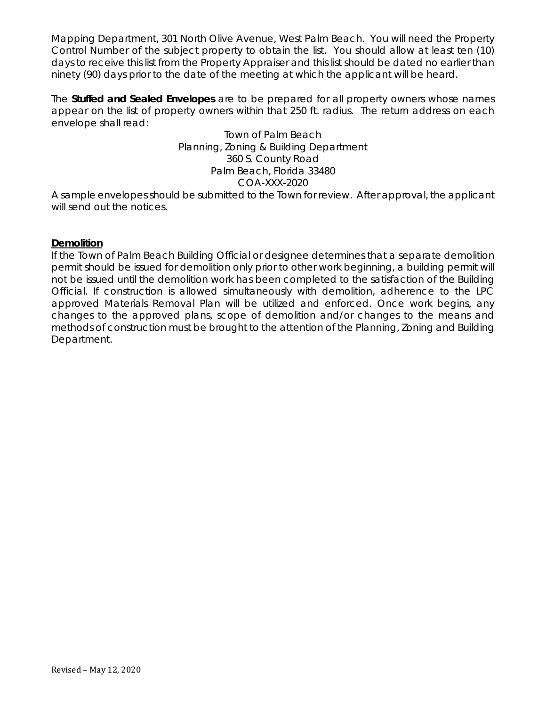Mapping Department, 301 North Olive Avenue, West Palm Beach. You will need the Property Control Number of the subject property to obtain the list. You should allow at least ten (10) days to receive this list from the Property Appraiser and this list should be dated no earlier than ninety (90) days prior to the date of the meeting at which the applicant will be heard.

The **Stuffed and Sealed Envelopes** are to be prepared for all property owners whose names appear on the list of property owners within that 250 ft. radius. The return address on each envelope shall read:

# Town of Palm Beach Planning, Zoning & Building Department 360 S. County Road Palm Beach, Florida 33480 COA-XXX-2020

A sample envelopes should be submitted to the Town for review. After approval, the applicant will send out the notices.

### **Demolition**

If the Town of Palm Beach Building Official or designee determines that a separate demolition permit should be issued for demolition only prior to other work beginning, a building permit will not be issued until the demolition work has been completed to the satisfaction of the Building Official. If construction is allowed simultaneously with demolition, adherence to the LPC approved Materials Removal Plan will be utilized and enforced. Once work begins, any changes to the approved plans, scope of demolition and/or changes to the means and methods of construction must be brought to the attention of the Planning, Zoning and Building Department.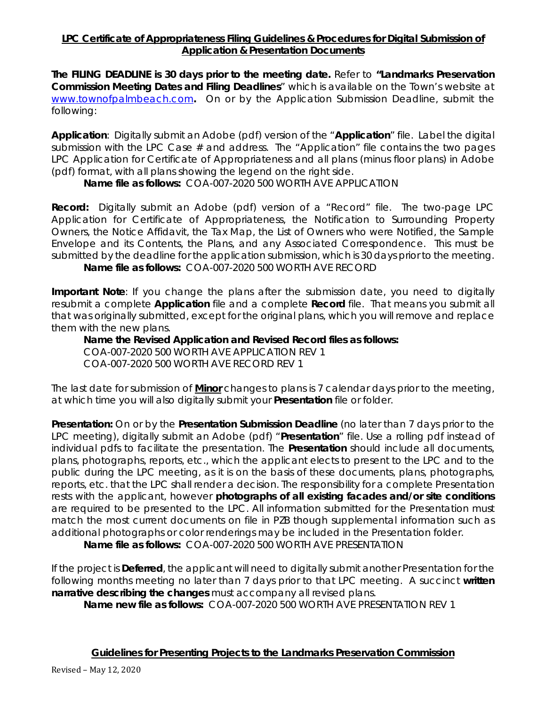# **LPC Certificate of Appropriateness Filing Guidelines & Procedures for Digital Submission of Application & Presentation Documents**

**The FILING DEADLINE is 30 days prior to the meeting date.** Refer to **"Landmarks Preservation Commission Meeting Dates and Filing Deadlines**" which is available on the Town's website at [www.townofpalmbeach.com](http://www.townofpalmbeach.com/)**.** On or by the Application Submission Deadline, submit the following:

**Application**: Digitally submit an Adobe (pdf) version of the "**Application**" file. Label the digital submission with the LPC Case  $#$  and address. The "Application" file contains the two pages LPC Application for Certificate of Appropriateness and all plans (minus floor plans) in Adobe (pdf) format, with all plans showing the legend on the right side.

**Name file as follows:** COA-007-2020 500 WORTH AVE APPLICATION

**Record:** Digitally submit an Adobe (pdf) version of a "Record" file. The two-page LPC Application for Certificate of Appropriateness, the Notification to Surrounding Property Owners, the Notice Affidavit, the Tax Map, the List of Owners who were Notified, the Sample Envelope and its Contents, the Plans, and any Associated Correspondence. This must be submitted by the deadline for the application submission, which is 30 days prior to the meeting. **Name file as follows:** COA-007-2020 500 WORTH AVE RECORD

**Important Note**: If you change the plans after the submission date, you need to digitally resubmit a complete **Application** file and a complete **Record** file. That means you submit all that was originally submitted, except for the original plans, which you will remove and replace them with the new plans.

**Name the Revised Application and Revised Record files as follows:** COA-007-2020 500 WORTH AVE APPLICATION REV 1 COA-007-2020 500 WORTH AVE RECORD REV 1

The last date for submission of **Minor** changes to plans is 7 calendar days prior to the meeting, at which time you will also digitally submit your **Presentation** file or folder.

**Presentation:** On or by the **Presentation Submission Deadline** (no later than 7 days prior to the LPC meeting), digitally submit an Adobe (pdf) "**Presentation**" file. Use a rolling pdf instead of individual pdfs to facilitate the presentation. The **Presentation** should include all documents, plans, photographs, reports, etc., which the applicant elects to present to the LPC and to the public during the LPC meeting, as it is on the basis of these documents, plans, photographs, reports, etc. that the LPC shall render a decision. The responsibility for a complete Presentation rests with the applicant, however **photographs of all existing facades and/or site conditions**  are required to be presented to the LPC. All information submitted for the Presentation must match the most current documents on file in PZB though supplemental information such as additional photographs or color renderings may be included in the Presentation folder.

**Name file as follows:** COA-007-2020 500 WORTH AVE PRESENTATION

If the project is **Deferred**, the applicant will need to digitally submit another Presentation for the following months meeting no later than 7 days prior to that LPC meeting. A succinct **written narrative describing the changes** must accompany all revised plans.

**Name new file as follows:** COA-007-2020 500 WORTH AVE PRESENTATION REV 1